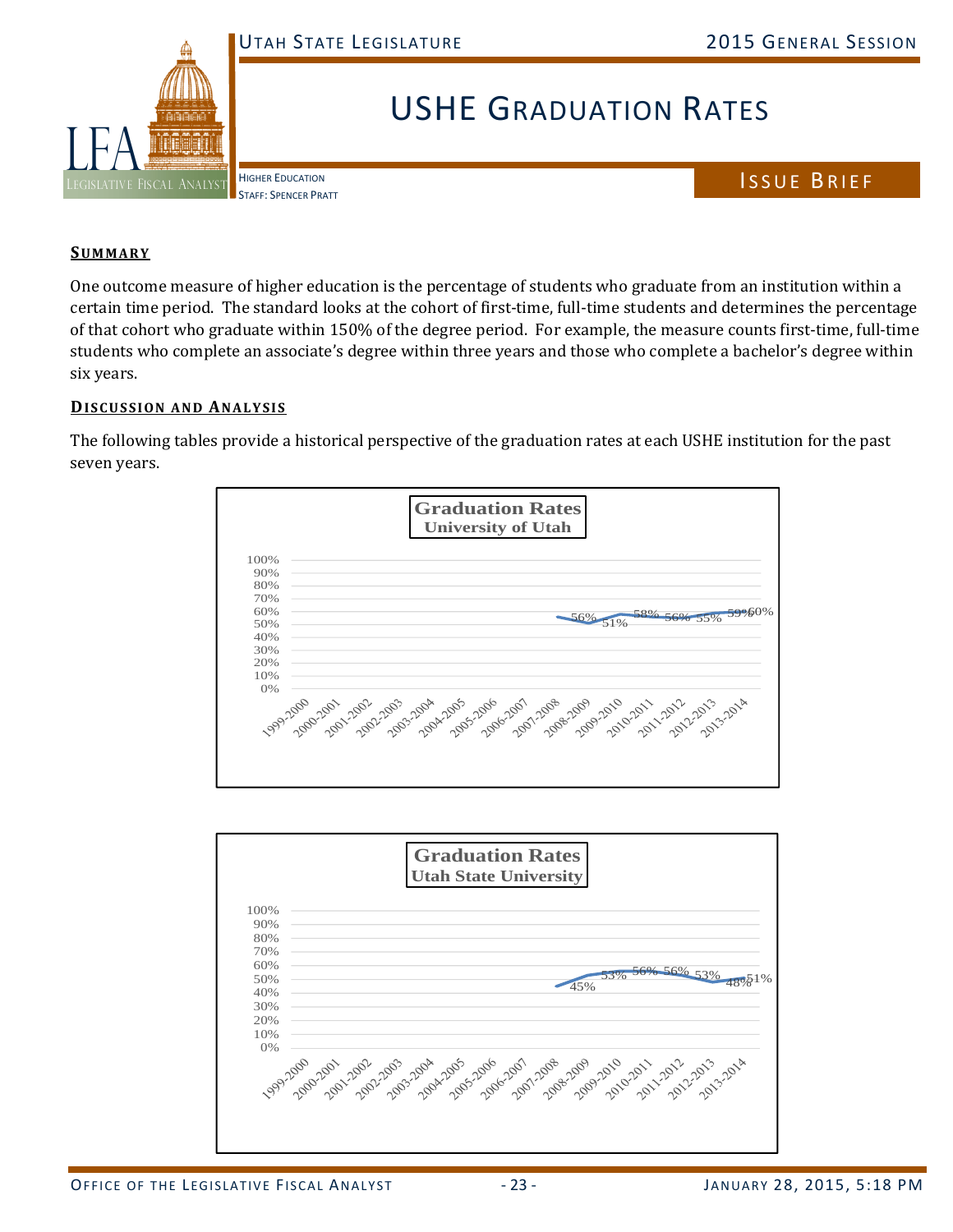

## USHE GRADUATION RATES

HIGHER EDUCATION STAFF: SPENCER PRATT ISSUE BRIEF

## **SUMMARY**

One outcome measure of higher education is the percentage of students who graduate from an institution within a certain time period. The standard looks at the cohort of first-time, full-time students and determines the percentage of that cohort who graduate within 150% of the degree period. For example, the measure counts first-time, full-time students who complete an associate's degree within three years and those who complete a bachelor's degree within six years.

## **DISCUSSION AND ANALYSIS**

The following tables provide a historical perspective of the graduation rates at each USHE institution for the past seven years.



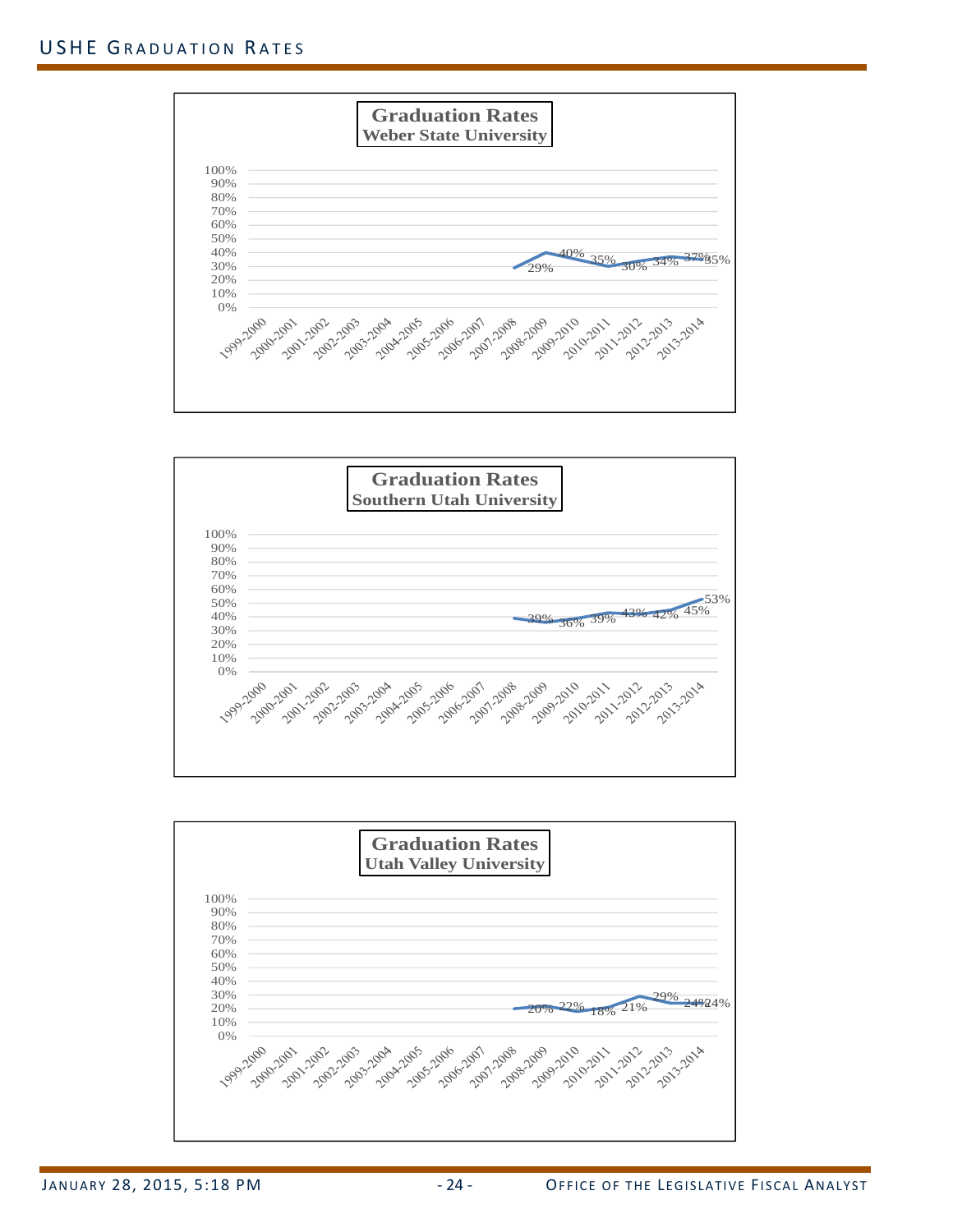



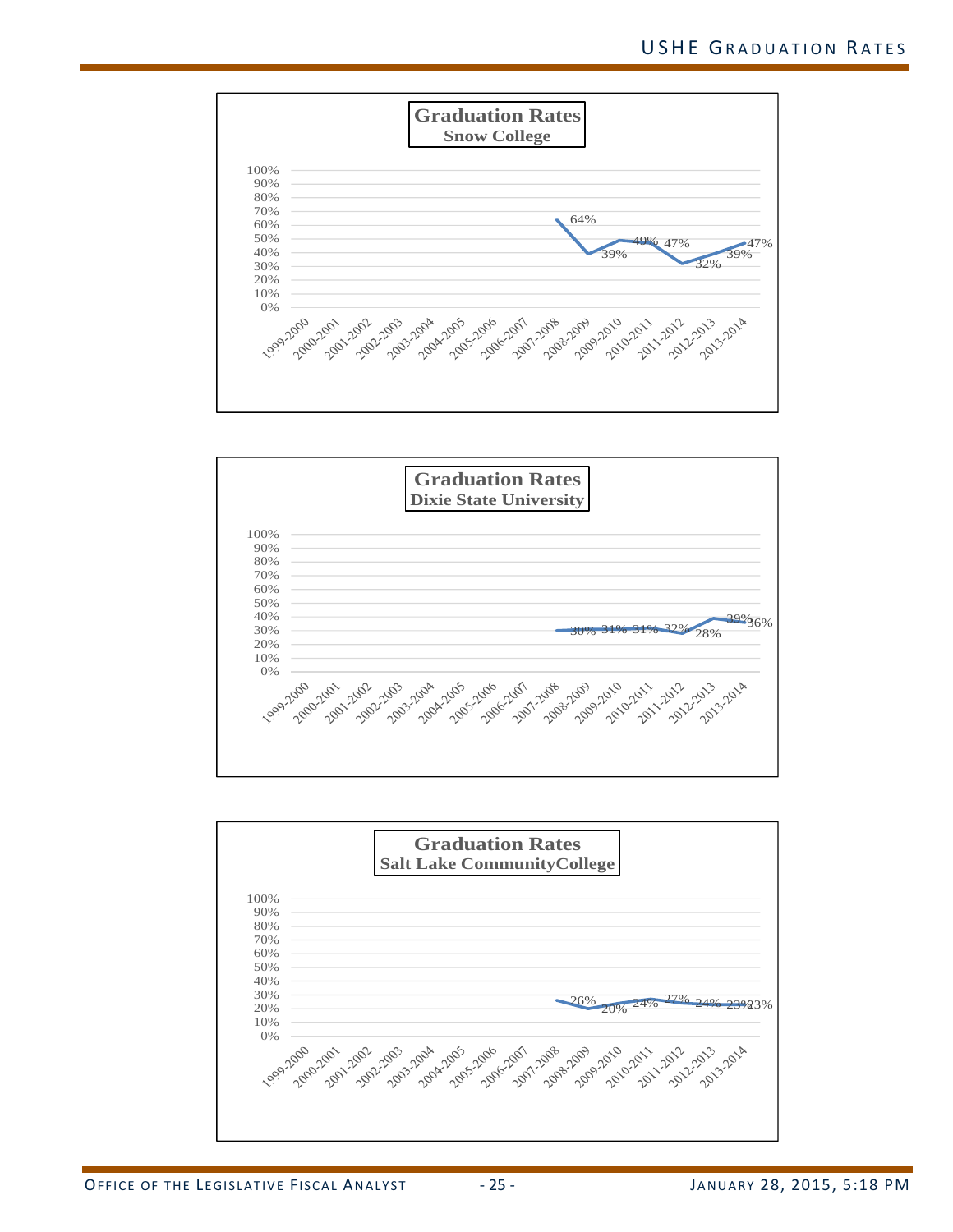